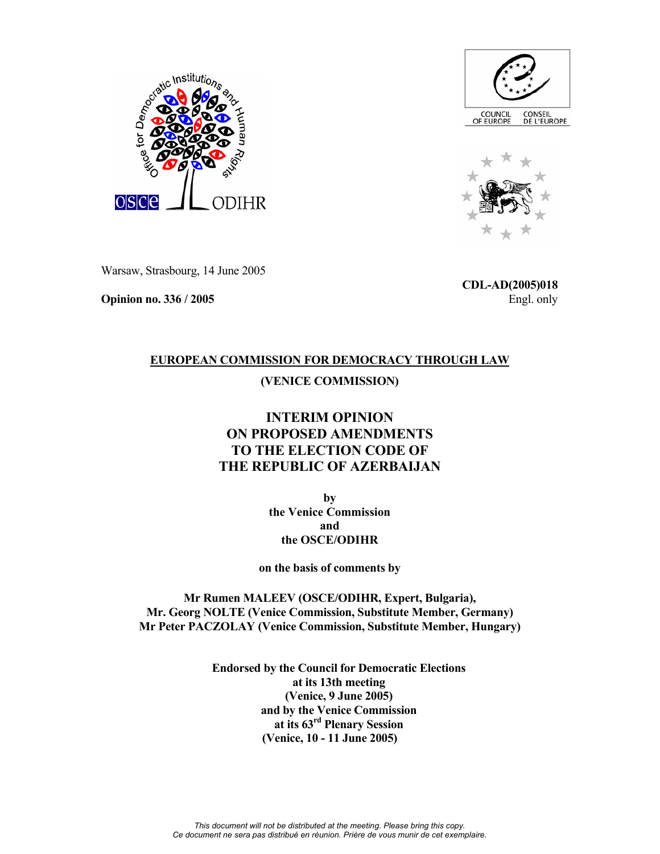

Warsaw, Strasbourg, 14 June 2005

**Opinion no. 336 / 2005** 





**CDL-AD(2005)018** Engl. only

# **EUROPEAN COMMISSION FOR DEMOCRACY THROUGH LAW (VENICE COMMISSION)**

## **INTERIM OPINION ON PROPOSED AMENDMENTS TO THE ELECTION CODE OF THE REPUBLIC OF AZERBAIJAN**

**by the Venice Commission and the OSCE/ODIHR** 

**on the basis of comments by** 

**Mr Rumen MALEEV (OSCE/ODIHR, Expert, Bulgaria), Mr. Georg NOLTE (Venice Commission, Substitute Member, Germany) Mr Peter PACZOLAY (Venice Commission, Substitute Member, Hungary)** 

> **Endorsed by the Council for Democratic Elections at its 13th meeting (Venice, 9 June 2005) and by the Venice Commission at its 63rd Plenary Session (Venice, 10 - 11 June 2005)**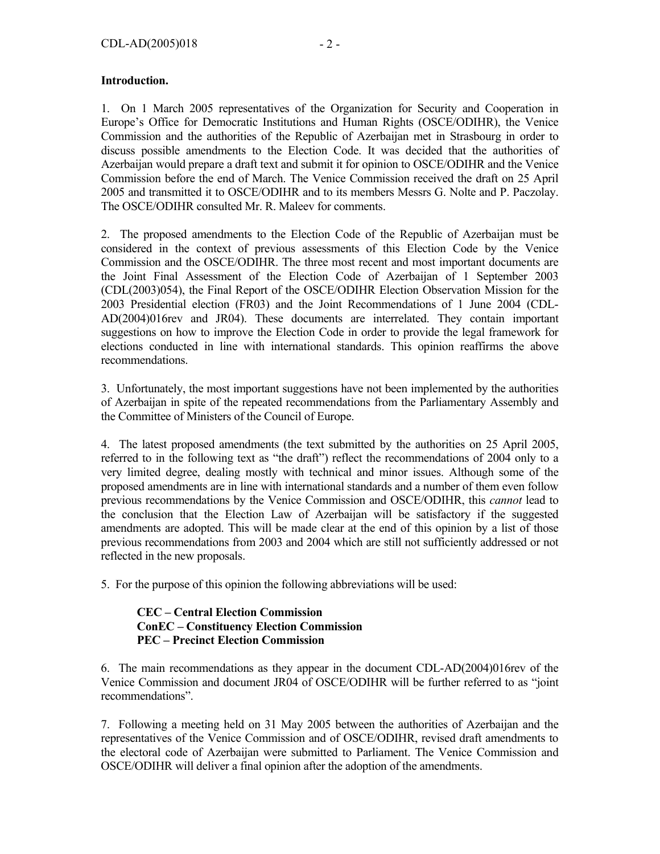#### **Introduction.**

1. On 1 March 2005 representatives of the Organization for Security and Cooperation in Europe's Office for Democratic Institutions and Human Rights (OSCE/ODIHR), the Venice Commission and the authorities of the Republic of Azerbaijan met in Strasbourg in order to discuss possible amendments to the Election Code. It was decided that the authorities of Azerbaijan would prepare a draft text and submit it for opinion to OSCE/ODIHR and the Venice Commission before the end of March. The Venice Commission received the draft on 25 April 2005 and transmitted it to OSCE/ODIHR and to its members Messrs G. Nolte and P. Paczolay. The OSCE/ODIHR consulted Mr. R. Maleev for comments.

2. The proposed amendments to the Election Code of the Republic of Azerbaijan must be considered in the context of previous assessments of this Election Code by the Venice Commission and the OSCE/ODIHR. The three most recent and most important documents are the Joint Final Assessment of the Election Code of Azerbaijan of 1 September 2003 (CDL(2003)054), the Final Report of the OSCE/ODIHR Election Observation Mission for the 2003 Presidential election (FR03) and the Joint Recommendations of 1 June 2004 (CDL-AD(2004)016rev and JR04). These documents are interrelated. They contain important suggestions on how to improve the Election Code in order to provide the legal framework for elections conducted in line with international standards. This opinion reaffirms the above recommendations.

3. Unfortunately, the most important suggestions have not been implemented by the authorities of Azerbaijan in spite of the repeated recommendations from the Parliamentary Assembly and the Committee of Ministers of the Council of Europe.

4. The latest proposed amendments (the text submitted by the authorities on 25 April 2005, referred to in the following text as "the draft") reflect the recommendations of 2004 only to a very limited degree, dealing mostly with technical and minor issues. Although some of the proposed amendments are in line with international standards and a number of them even follow previous recommendations by the Venice Commission and OSCE/ODIHR, this *cannot* lead to the conclusion that the Election Law of Azerbaijan will be satisfactory if the suggested amendments are adopted. This will be made clear at the end of this opinion by a list of those previous recommendations from 2003 and 2004 which are still not sufficiently addressed or not reflected in the new proposals.

5. For the purpose of this opinion the following abbreviations will be used:

#### **CEC – Central Election Commission ConEC – Constituency Election Commission PEC – Precinct Election Commission**

6. The main recommendations as they appear in the document CDL-AD(2004)016rev of the Venice Commission and document JR04 of OSCE/ODIHR will be further referred to as "joint recommendations".

7. Following a meeting held on 31 May 2005 between the authorities of Azerbaijan and the representatives of the Venice Commission and of OSCE/ODIHR, revised draft amendments to the electoral code of Azerbaijan were submitted to Parliament. The Venice Commission and OSCE/ODIHR will deliver a final opinion after the adoption of the amendments.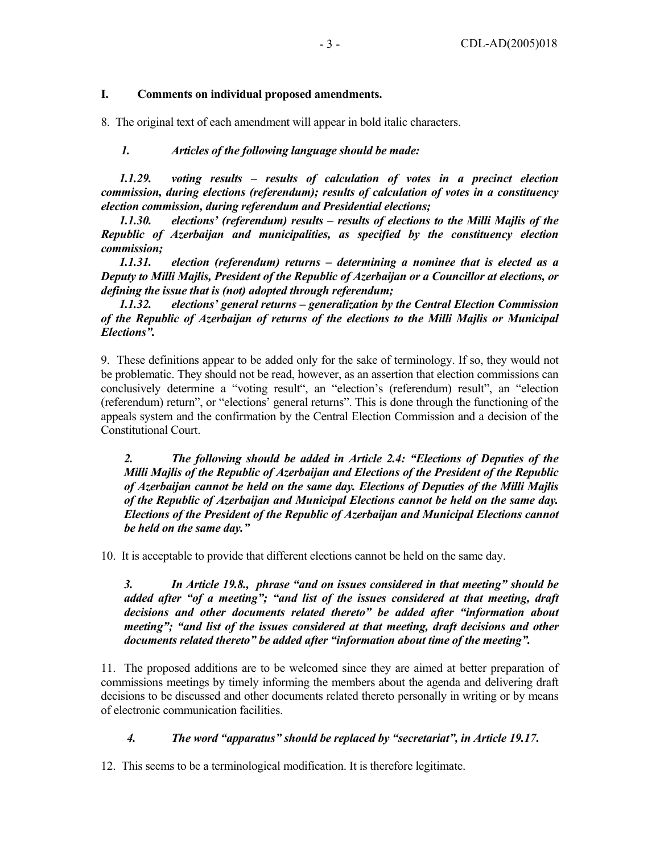#### **I. Comments on individual proposed amendments.**

8. The original text of each amendment will appear in bold italic characters.

#### *1. Articles of the following language should be made:*

*1.1.29. voting results – results of calculation of votes in a precinct election commission, during elections (referendum); results of calculation of votes in a constituency election commission, during referendum and Presidential elections;* 

*1.1.30. elections' (referendum) results – results of elections to the Milli Majlis of the Republic of Azerbaijan and municipalities, as specified by the constituency election commission;* 

*1.1.31. election (referendum) returns – determining a nominee that is elected as a Deputy to Milli Majlis, President of the Republic of Azerbaijan or a Councillor at elections, or defining the issue that is (not) adopted through referendum;* 

*1.1.32. elections' general returns – generalization by the Central Election Commission of the Republic of Azerbaijan of returns of the elections to the Milli Majlis or Municipal Elections".* 

9. These definitions appear to be added only for the sake of terminology. If so, they would not be problematic. They should not be read, however, as an assertion that election commissions can conclusively determine a "voting result", an "election's (referendum) result", an "election (referendum) return", or "elections' general returns". This is done through the functioning of the appeals system and the confirmation by the Central Election Commission and a decision of the Constitutional Court.

*2. The following should be added in Article 2.4: "Elections of Deputies of the Milli Majlis of the Republic of Azerbaijan and Elections of the President of the Republic of Azerbaijan cannot be held on the same day. Elections of Deputies of the Milli Majlis of the Republic of Azerbaijan and Municipal Elections cannot be held on the same day. Elections of the President of the Republic of Azerbaijan and Municipal Elections cannot be held on the same day."* 

10. It is acceptable to provide that different elections cannot be held on the same day.

*3. In Article 19.8., phrase "and on issues considered in that meeting" should be added after "of a meeting"; "and list of the issues considered at that meeting, draft decisions and other documents related thereto" be added after "information about meeting"; "and list of the issues considered at that meeting, draft decisions and other documents related thereto" be added after "information about time of the meeting".*

11. The proposed additions are to be welcomed since they are aimed at better preparation of commissions meetings by timely informing the members about the agenda and delivering draft decisions to be discussed and other documents related thereto personally in writing or by means of electronic communication facilities.

#### *4. The word "apparatus" should be replaced by "secretariat", in Article 19.17***.**

12. This seems to be a terminological modification. It is therefore legitimate.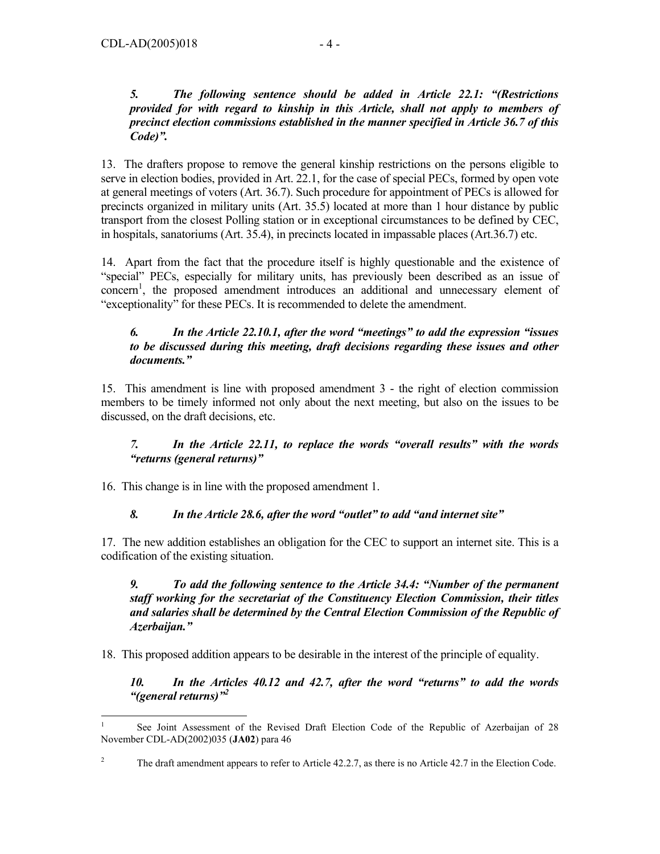*5. The following sentence should be added in Article 22.1: "(Restrictions provided for with regard to kinship in this Article, shall not apply to members of precinct election commissions established in the manner specified in Article 36.7 of this Code)".* 

13. The drafters propose to remove the general kinship restrictions on the persons eligible to serve in election bodies, provided in Art. 22.1, for the case of special PECs, formed by open vote at general meetings of voters (Art. 36.7). Such procedure for appointment of PECs is allowed for precincts organized in military units (Art. 35.5) located at more than 1 hour distance by public transport from the closest Polling station or in exceptional circumstances to be defined by CEC, in hospitals, sanatoriums (Art. 35.4), in precincts located in impassable places (Art.36.7) etc.

14. Apart from the fact that the procedure itself is highly questionable and the existence of "special" PECs, especially for military units, has previously been described as an issue of concern 1 , the proposed amendment introduces an additional and unnecessary element of "exceptionality" for these PECs. It is recommended to delete the amendment.

#### *6. In the Article 22.10.1, after the word "meetings" to add the expression "issues to be discussed during this meeting, draft decisions regarding these issues and other documents."*

15. This amendment is line with proposed amendment 3 - the right of election commission members to be timely informed not only about the next meeting, but also on the issues to be discussed, on the draft decisions, etc.

#### *7. In the Article 22.11, to replace the words "overall results" with the words "returns (general returns)"*

16. This change is in line with the proposed amendment 1.

## *8. In the Article 28.6, after the word "outlet" to add "and internet site"*

17. The new addition establishes an obligation for the CEC to support an internet site. This is a codification of the existing situation.

*9. To add the following sentence to the Article 34.4: "Number of the permanent staff working for the secretariat of the Constituency Election Commission, their titles and salaries shall be determined by the Central Election Commission of the Republic of Azerbaijan."* 

18. This proposed addition appears to be desirable in the interest of the principle of equality.

*10. In the Articles 40.12 and 42.7, after the word "returns" to add the words "(general returns)"2*

 $\frac{1}{1}$  See Joint Assessment of the Revised Draft Election Code of the Republic of Azerbaijan of 28 November CDL-AD(2002)035 (**JA02**) para 46

<sup>2</sup> The draft amendment appears to refer to Article 42.2.7, as there is no Article 42.7 in the Election Code.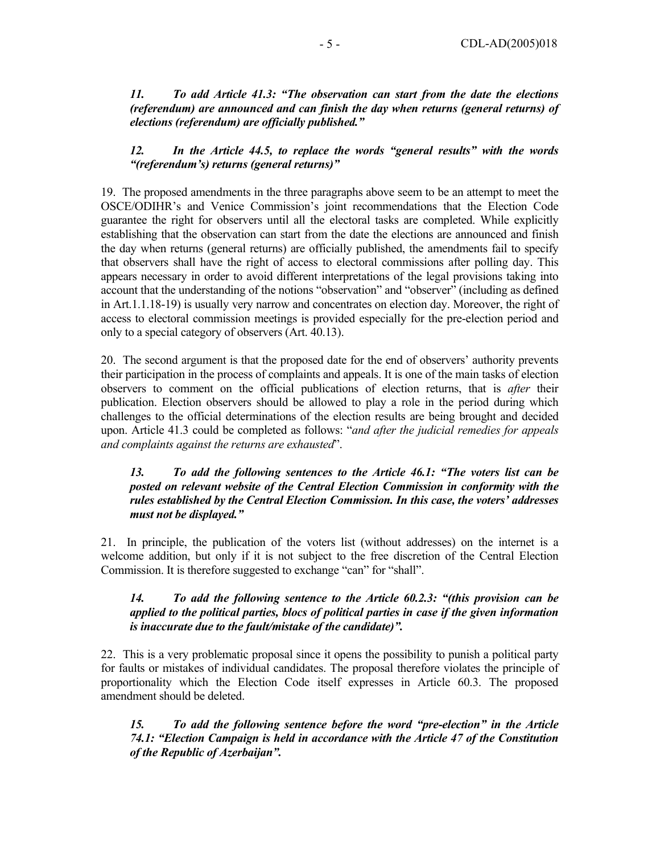*11. To add Article 41.3: "The observation can start from the date the elections (referendum) are announced and can finish the day when returns (general returns) of elections (referendum) are officially published."* 

#### *12. In the Article 44.5, to replace the words "general results" with the words "(referendum's) returns (general returns)"*

19. The proposed amendments in the three paragraphs above seem to be an attempt to meet the OSCE/ODIHR's and Venice Commission's joint recommendations that the Election Code guarantee the right for observers until all the electoral tasks are completed. While explicitly establishing that the observation can start from the date the elections are announced and finish the day when returns (general returns) are officially published, the amendments fail to specify that observers shall have the right of access to electoral commissions after polling day. This appears necessary in order to avoid different interpretations of the legal provisions taking into account that the understanding of the notions "observation" and "observer" (including as defined in Art.1.1.18-19) is usually very narrow and concentrates on election day. Moreover, the right of access to electoral commission meetings is provided especially for the pre-election period and only to a special category of observers (Art. 40.13).

20. The second argument is that the proposed date for the end of observers' authority prevents their participation in the process of complaints and appeals. It is one of the main tasks of election observers to comment on the official publications of election returns, that is *after* their publication. Election observers should be allowed to play a role in the period during which challenges to the official determinations of the election results are being brought and decided upon. Article 41.3 could be completed as follows: "*and after the judicial remedies for appeals and complaints against the returns are exhausted*".

#### *13. To add the following sentences to the Article 46.1: "The voters list can be posted on relevant website of the Central Election Commission in conformity with the rules established by the Central Election Commission. In this case, the voters' addresses must not be displayed."*

21. In principle, the publication of the voters list (without addresses) on the internet is a welcome addition, but only if it is not subject to the free discretion of the Central Election Commission. It is therefore suggested to exchange "can" for "shall".

#### *14. To add the following sentence to the Article 60.2.3: "(this provision can be applied to the political parties, blocs of political parties in case if the given information is inaccurate due to the fault/mistake of the candidate)".*

22. This is a very problematic proposal since it opens the possibility to punish a political party for faults or mistakes of individual candidates. The proposal therefore violates the principle of proportionality which the Election Code itself expresses in Article 60.3. The proposed amendment should be deleted.

*15. To add the following sentence before the word "pre-election" in the Article 74.1: "Election Campaign is held in accordance with the Article 47 of the Constitution of the Republic of Azerbaijan".*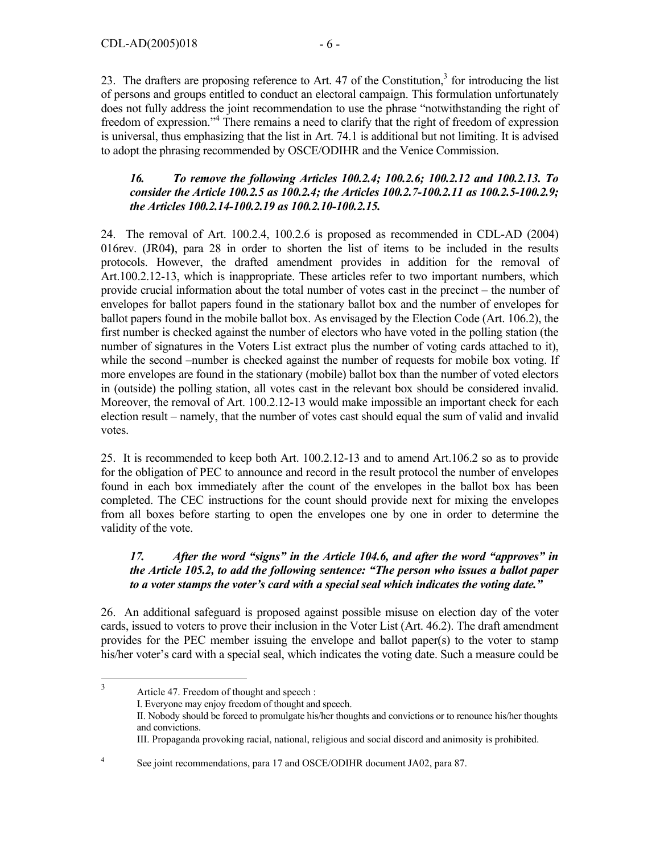$\frac{1}{3}$ 

23. The drafters are proposing reference to Art. 47 of the Constitution, $3$  for introducing the list of persons and groups entitled to conduct an electoral campaign. This formulation unfortunately does not fully address the joint recommendation to use the phrase "notwithstanding the right of freedom of expression."<sup>4</sup> There remains a need to clarify that the right of freedom of expression is universal, thus emphasizing that the list in Art. 74.1 is additional but not limiting. It is advised to adopt the phrasing recommended by OSCE/ODIHR and the Venice Commission.

#### *16. To remove the following Articles 100.2.4; 100.2.6; 100.2.12 and 100.2.13. To consider the Article 100.2.5 as 100.2.4; the Articles 100.2.7-100.2.11 as 100.2.5-100.2.9; the Articles 100.2.14-100.2.19 as 100.2.10-100.2.15.*

24. The removal of Art. 100.2.4, 100.2.6 is proposed as recommended in CDL-AD (2004) 016rev. (JR04**)**, para 28 in order to shorten the list of items to be included in the results protocols. However, the drafted amendment provides in addition for the removal of Art.100.2.12-13, which is inappropriate. These articles refer to two important numbers, which provide crucial information about the total number of votes cast in the precinct – the number of envelopes for ballot papers found in the stationary ballot box and the number of envelopes for ballot papers found in the mobile ballot box. As envisaged by the Election Code (Art. 106.2), the first number is checked against the number of electors who have voted in the polling station (the number of signatures in the Voters List extract plus the number of voting cards attached to it), while the second –number is checked against the number of requests for mobile box voting. If more envelopes are found in the stationary (mobile) ballot box than the number of voted electors in (outside) the polling station, all votes cast in the relevant box should be considered invalid. Moreover, the removal of Art. 100.2.12-13 would make impossible an important check for each election result – namely, that the number of votes cast should equal the sum of valid and invalid votes.

25. It is recommended to keep both Art. 100.2.12-13 and to amend Art.106.2 so as to provide for the obligation of PEC to announce and record in the result protocol the number of envelopes found in each box immediately after the count of the envelopes in the ballot box has been completed. The CEC instructions for the count should provide next for mixing the envelopes from all boxes before starting to open the envelopes one by one in order to determine the validity of the vote.

#### *17. After the word "signs" in the Article 104.6, and after the word "approves" in the Article 105.2, to add the following sentence: "The person who issues a ballot paper to a voter stamps the voter's card with a special seal which indicates the voting date."*

26. An additional safeguard is proposed against possible misuse on election day of the voter cards, issued to voters to prove their inclusion in the Voter List (Art. 46.2). The draft amendment provides for the PEC member issuing the envelope and ballot paper(s) to the voter to stamp his/her voter's card with a special seal, which indicates the voting date. Such a measure could be

Article 47. Freedom of thought and speech : I. Everyone may enjoy freedom of thought and speech. II. Nobody should be forced to promulgate his/her thoughts and convictions or to renounce his/her thoughts and convictions. III. Propaganda provoking racial, national, religious and social discord and animosity is prohibited.

<sup>4</sup> See joint recommendations, para 17 and OSCE/ODIHR document JA02, para 87.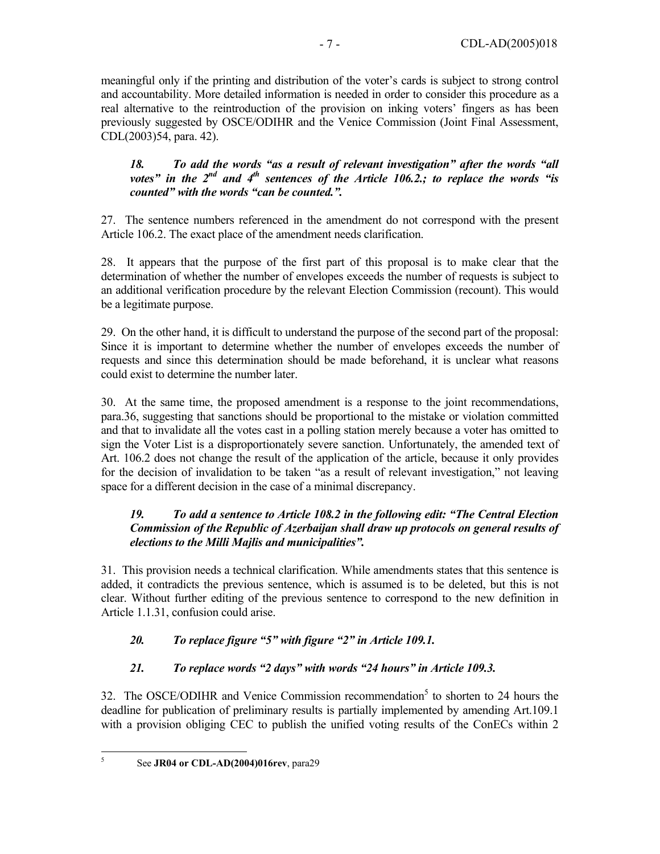meaningful only if the printing and distribution of the voter's cards is subject to strong control and accountability. More detailed information is needed in order to consider this procedure as a real alternative to the reintroduction of the provision on inking voters' fingers as has been previously suggested by OSCE/ODIHR and the Venice Commission (Joint Final Assessment, CDL(2003)54, para. 42).

#### *18. To add the words "as a result of relevant investigation" after the words "all*  votes" in the 2<sup>nd</sup> and 4<sup>th</sup> sentences of the Article 106.2.; to replace the words "is *counted" with the words "can be counted.".*

27. The sentence numbers referenced in the amendment do not correspond with the present Article 106.2. The exact place of the amendment needs clarification.

28. It appears that the purpose of the first part of this proposal is to make clear that the determination of whether the number of envelopes exceeds the number of requests is subject to an additional verification procedure by the relevant Election Commission (recount). This would be a legitimate purpose.

29. On the other hand, it is difficult to understand the purpose of the second part of the proposal: Since it is important to determine whether the number of envelopes exceeds the number of requests and since this determination should be made beforehand, it is unclear what reasons could exist to determine the number later.

30. At the same time, the proposed amendment is a response to the joint recommendations, para.36, suggesting that sanctions should be proportional to the mistake or violation committed and that to invalidate all the votes cast in a polling station merely because a voter has omitted to sign the Voter List is a disproportionately severe sanction. Unfortunately, the amended text of Art. 106.2 does not change the result of the application of the article, because it only provides for the decision of invalidation to be taken "as a result of relevant investigation," not leaving space for a different decision in the case of a minimal discrepancy.

#### *19. To add a sentence to Article 108.2 in the following edit: "The Central Election Commission of the Republic of Azerbaijan shall draw up protocols on general results of elections to the Milli Majlis and municipalities".*

31. This provision needs a technical clarification. While amendments states that this sentence is added, it contradicts the previous sentence, which is assumed is to be deleted, but this is not clear. Without further editing of the previous sentence to correspond to the new definition in Article 1.1.31, confusion could arise.

## *20. To replace figure "5" with figure "2" in Article 109.1.*

## *21. To replace words "2 days" with words "24 hours" in Article 109.3.*

32. The OSCE/ODIHR and Venice Commission recommendation<sup>5</sup> to shorten to 24 hours the deadline for publication of preliminary results is partially implemented by amending Art.109.1 with a provision obliging CEC to publish the unified voting results of the ConECs within 2

See **JR04 or CDL-AD(2004)016rev**, para29

 $\frac{1}{5}$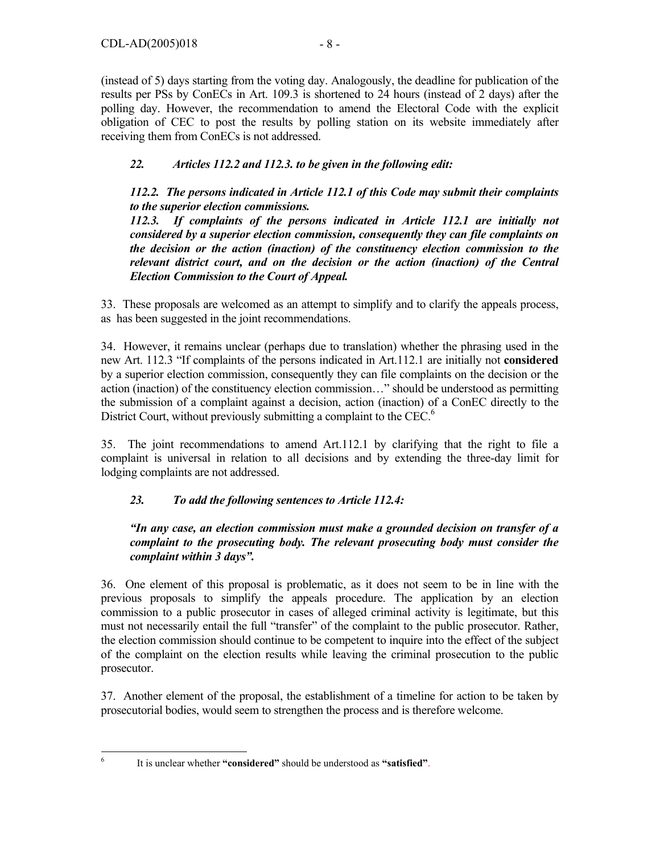(instead of 5) days starting from the voting day. Analogously, the deadline for publication of the results per PSs by ConECs in Art. 109.3 is shortened to 24 hours (instead of 2 days) after the polling day. However, the recommendation to amend the Electoral Code with the explicit obligation of CEC to post the results by polling station on its website immediately after receiving them from ConECs is not addressed.

## *22. Articles 112.2 and 112.3. to be given in the following edit:*

#### *112.2. The persons indicated in Article 112.1 of this Code may submit their complaints to the superior election commissions.*

*112.3. If complaints of the persons indicated in Article 112.1 are initially not considered by a superior election commission, consequently they can file complaints on the decision or the action (inaction) of the constituency election commission to the relevant district court, and on the decision or the action (inaction) of the Central Election Commission to the Court of Appeal.* 

33. These proposals are welcomed as an attempt to simplify and to clarify the appeals process, as has been suggested in the joint recommendations.

34. However, it remains unclear (perhaps due to translation) whether the phrasing used in the new Art. 112.3 "If complaints of the persons indicated in Art.112.1 are initially not **considered**  by a superior election commission, consequently they can file complaints on the decision or the action (inaction) of the constituency election commission…" should be understood as permitting the submission of a complaint against a decision, action (inaction) of a ConEC directly to the District Court, without previously submitting a complaint to the CEC.<sup>6</sup>

35. The joint recommendations to amend Art.112.1 by clarifying that the right to file a complaint is universal in relation to all decisions and by extending the three-day limit for lodging complaints are not addressed.

## *23. To add the following sentences to Article 112.4:*

#### *"In any case, an election commission must make a grounded decision on transfer of a complaint to the prosecuting body. The relevant prosecuting body must consider the complaint within 3 days".*

36. One element of this proposal is problematic, as it does not seem to be in line with the previous proposals to simplify the appeals procedure. The application by an election commission to a public prosecutor in cases of alleged criminal activity is legitimate, but this must not necessarily entail the full "transfer" of the complaint to the public prosecutor. Rather, the election commission should continue to be competent to inquire into the effect of the subject of the complaint on the election results while leaving the criminal prosecution to the public prosecutor.

37. Another element of the proposal, the establishment of a timeline for action to be taken by prosecutorial bodies, would seem to strengthen the process and is therefore welcome.

 $\frac{1}{6}$ 

It is unclear whether **"considered"** should be understood as **"satisfied"**.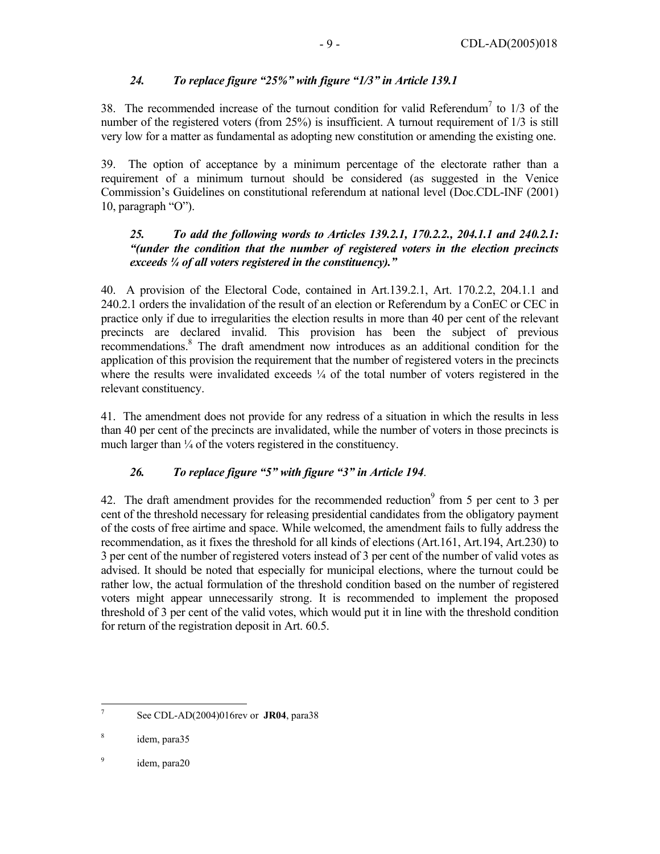## *24. To replace figure "25%" with figure "1/3" in Article 139.1*

38. The recommended increase of the turnout condition for valid Referendum<sup>7</sup> to  $1/3$  of the number of the registered voters (from 25%) is insufficient. A turnout requirement of 1/3 is still very low for a matter as fundamental as adopting new constitution or amending the existing one.

39. The option of acceptance by a minimum percentage of the electorate rather than a requirement of a minimum turnout should be considered (as suggested in the Venice Commission's Guidelines on constitutional referendum at national level (Doc.CDL-INF (2001) 10, paragraph "O").

#### *25. To add the following words to Articles 139.2.1, 170.2.2., 204.1.1 and 240.2.1: "(under the condition that the number of registered voters in the election precincts exceeds ¼ of all voters registered in the constituency)."*

40. A provision of the Electoral Code, contained in Art.139.2.1, Art. 170.2.2, 204.1.1 and 240.2.1 orders the invalidation of the result of an election or Referendum by a ConEC or CEC in practice only if due to irregularities the election results in more than 40 per cent of the relevant precincts are declared invalid. This provision has been the subject of previous recommendations.8 The draft amendment now introduces as an additional condition for the application of this provision the requirement that the number of registered voters in the precincts where the results were invalidated exceeds  $\frac{1}{4}$  of the total number of voters registered in the relevant constituency.

41. The amendment does not provide for any redress of a situation in which the results in less than 40 per cent of the precincts are invalidated, while the number of voters in those precincts is much larger than  $\frac{1}{4}$  of the voters registered in the constituency.

## *26. To replace figure "5" with figure "3" in Article 194*.

42. The draft amendment provides for the recommended reduction<sup>9</sup> from 5 per cent to 3 per cent of the threshold necessary for releasing presidential candidates from the obligatory payment of the costs of free airtime and space. While welcomed, the amendment fails to fully address the recommendation, as it fixes the threshold for all kinds of elections (Art.161, Art.194, Art.230) to 3 per cent of the number of registered voters instead of 3 per cent of the number of valid votes as advised. It should be noted that especially for municipal elections, where the turnout could be rather low, the actual formulation of the threshold condition based on the number of registered voters might appear unnecessarily strong. It is recommended to implement the proposed threshold of 3 per cent of the valid votes, which would put it in line with the threshold condition for return of the registration deposit in Art. 60.5.

 $\frac{1}{7}$ See CDL-AD(2004)016rev or **JR04**, para38

<sup>8</sup> idem, para35

<sup>9</sup> idem, para20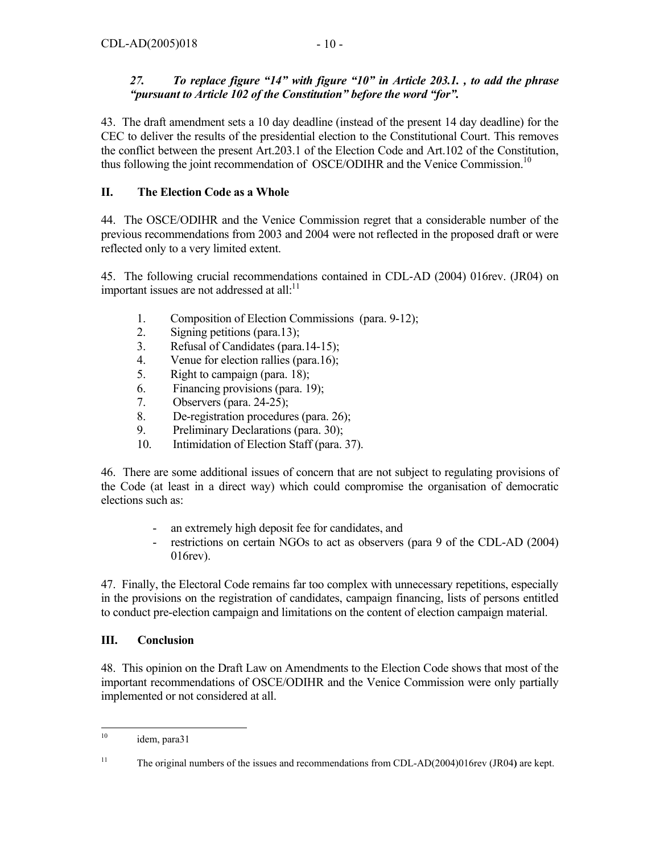## *27. To replace figure "14" with figure "10" in Article 203.1. , to add the phrase "pursuant to Article 102 of the Constitution" before the word "for".*

43. The draft amendment sets a 10 day deadline (instead of the present 14 day deadline) for the CEC to deliver the results of the presidential election to the Constitutional Court. This removes the conflict between the present Art.203.1 of the Election Code and Art.102 of the Constitution, thus following the joint recommendation of OSCE/ODIHR and the Venice Commission.<sup>10</sup>

## **II. The Election Code as a Whole**

44. The OSCE/ODIHR and the Venice Commission regret that a considerable number of the previous recommendations from 2003 and 2004 were not reflected in the proposed draft or were reflected only to a very limited extent.

45. The following crucial recommendations contained in CDL-AD (2004) 016rev. (JR04) on important issues are not addressed at all:<sup>11</sup>

- 1. Composition of Election Commissions (para. 9-12);
- 2. Signing petitions (para.13);
- 3. Refusal of Candidates (para.14-15);
- 4. Venue for election rallies (para.16);
- 5. Right to campaign (para. 18);
- 6. Financing provisions (para. 19);
- 7. Observers (para. 24-25);
- 8. De-registration procedures (para. 26);
- 9. Preliminary Declarations (para. 30);
- 10. Intimidation of Election Staff (para. 37).

46. There are some additional issues of concern that are not subject to regulating provisions of the Code (at least in a direct way) which could compromise the organisation of democratic elections such as:

- an extremely high deposit fee for candidates, and
- restrictions on certain NGOs to act as observers (para 9 of the CDL-AD (2004) 016rev).

47. Finally, the Electoral Code remains far too complex with unnecessary repetitions, especially in the provisions on the registration of candidates, campaign financing, lists of persons entitled to conduct pre-election campaign and limitations on the content of election campaign material.

#### **III. Conclusion**

48. This opinion on the Draft Law on Amendments to the Election Code shows that most of the important recommendations of OSCE/ODIHR and the Venice Commission were only partially implemented or not considered at all.

 $10\,$ idem, para31

<sup>11</sup> The original numbers of the issues and recommendations from CDL-AD(2004)016rev (JR04**)** are kept.